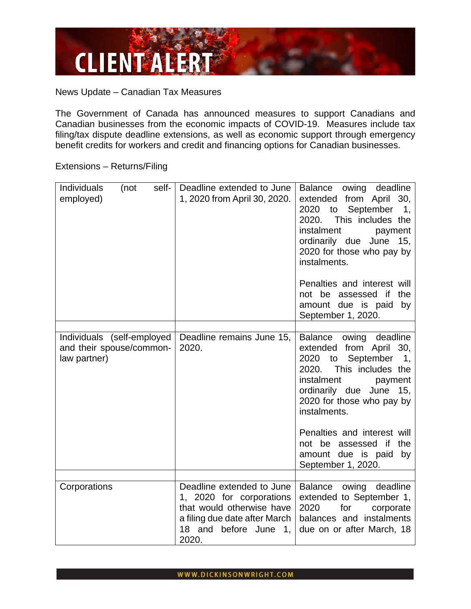

News Update – Canadian Tax Measures

The Government of Canada has announced measures to support Canadians and Canadian businesses from the economic impacts of COVID-19. Measures include tax filing/tax dispute deadline extensions, as well as economic support through emergency benefit credits for workers and credit and financing options for Canadian businesses.

Extensions – Returns/Filing

| Individuals<br>self-<br>(not<br>employed)                              | Deadline extended to June<br>1, 2020 from April 30, 2020.                                                                                             | deadline<br>Balance<br>owing<br>extended from April 30,<br>2020 to September<br>1,<br>2020. This includes the<br>instalment<br>payment<br>ordinarily due June 15,<br>2020 for those who pay by<br>instalments.                                                                                                                                    |
|------------------------------------------------------------------------|-------------------------------------------------------------------------------------------------------------------------------------------------------|---------------------------------------------------------------------------------------------------------------------------------------------------------------------------------------------------------------------------------------------------------------------------------------------------------------------------------------------------|
|                                                                        |                                                                                                                                                       | Penalties and interest will<br>not be assessed if the<br>amount due is paid<br>by<br>September 1, 2020.                                                                                                                                                                                                                                           |
| Individuals (self-employed<br>and their spouse/common-<br>law partner) | Deadline remains June 15,<br>2020.                                                                                                                    | Balance owing deadline<br>extended from April 30,<br>to September<br>2020<br>$\overline{\mathbf{1}}$<br>This includes the<br>2020.<br>instalment<br>payment<br>ordinarily due June 15,<br>2020 for those who pay by<br>instalments.<br>Penalties and interest will<br>not be assessed if<br>the<br>amount due is paid<br>by<br>September 1, 2020. |
| Corporations                                                           | Deadline extended to June<br>1, 2020 for corporations<br>that would otherwise have<br>a filing due date after March<br>18 and before June 1,<br>2020. | Balance owing deadline<br>extended to September 1,<br>2020<br>for<br>corporate<br>balances and instalments<br>due on or after March, 18                                                                                                                                                                                                           |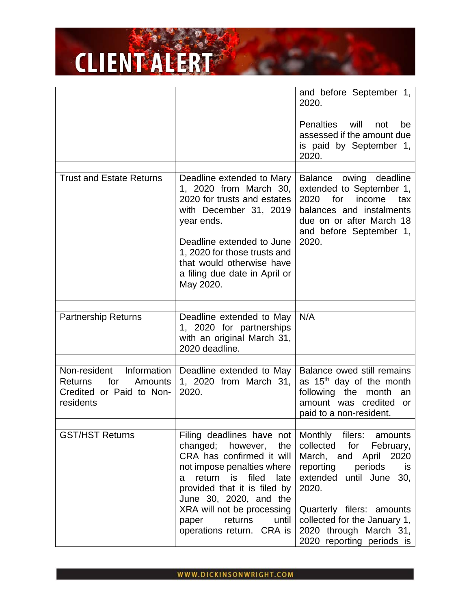|                                                                                                          |                                                                                                                                                                                                                                                                                                  | and before September 1,<br>2020.                                                                                                                                                                                                                                     |
|----------------------------------------------------------------------------------------------------------|--------------------------------------------------------------------------------------------------------------------------------------------------------------------------------------------------------------------------------------------------------------------------------------------------|----------------------------------------------------------------------------------------------------------------------------------------------------------------------------------------------------------------------------------------------------------------------|
|                                                                                                          |                                                                                                                                                                                                                                                                                                  | <b>Penalties</b><br>will<br>not<br>be<br>assessed if the amount due<br>is paid by September 1,<br>2020.                                                                                                                                                              |
| <b>Trust and Estate Returns</b>                                                                          | Deadline extended to Mary<br>1, 2020 from March 30,<br>2020 for trusts and estates<br>with December 31, 2019<br>year ends.<br>Deadline extended to June<br>1, 2020 for those trusts and<br>that would otherwise have<br>a filing due date in April or<br>May 2020.                               | Balance<br>owing deadline<br>extended to September 1,<br>2020<br>for<br>income<br>tax<br>balances and instalments<br>due on or after March 18<br>and before September 1,<br>2020.                                                                                    |
| <b>Partnership Returns</b>                                                                               | Deadline extended to May<br>1, 2020 for partnerships<br>with an original March 31,<br>2020 deadline.                                                                                                                                                                                             | N/A                                                                                                                                                                                                                                                                  |
| Non-resident<br>Information<br>for<br><b>Returns</b><br>Amounts<br>Credited or Paid to Non-<br>residents | Deadline extended to May<br>1, 2020 from March 31,<br>2020.                                                                                                                                                                                                                                      | Balance owed still remains<br>as 15 <sup>th</sup> day of the month<br>month<br>following the<br>an<br>amount was credited<br>or<br>paid to a non-resident.                                                                                                           |
| <b>GST/HST Returns</b>                                                                                   | Filing deadlines have not<br>changed; however, the<br>CRA has confirmed it will<br>not impose penalties where  <br>return is filed late<br>a<br>provided that it is filed by<br>June 30, 2020, and the<br>XRA will not be processing<br>returns<br>until  <br>paper<br>operations return. CRA is | Monthly filers: amounts<br>collected<br>for<br>February,<br>March, and April 2020<br>reporting periods<br>is<br>extended until June 30,<br>2020.<br>Quarterly filers: amounts<br>collected for the January 1,<br>2020 through March 31,<br>2020 reporting periods is |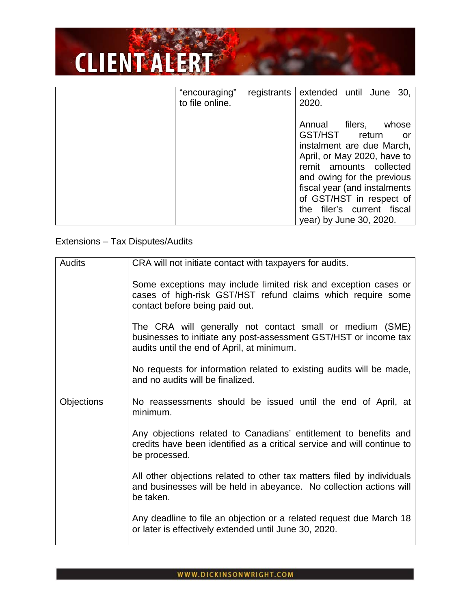| "encouraging"<br>to file online. | registrants | extended until June 30,<br>2020.                                                                                                                                                                                                                                                                |
|----------------------------------|-------------|-------------------------------------------------------------------------------------------------------------------------------------------------------------------------------------------------------------------------------------------------------------------------------------------------|
|                                  |             | filers,<br>Annual<br>whose<br>GST/HST<br>return<br>or<br>instalment are due March,<br>April, or May 2020, have to<br>remit amounts collected<br>and owing for the previous<br>fiscal year (and instalments<br>of GST/HST in respect of<br>the filer's current fiscal<br>year) by June 30, 2020. |

#### Extensions – Tax Disputes/Audits

| <b>Audits</b>     | CRA will not initiate contact with taxpayers for audits.                                                                                                                   |
|-------------------|----------------------------------------------------------------------------------------------------------------------------------------------------------------------------|
|                   | Some exceptions may include limited risk and exception cases or<br>cases of high-risk GST/HST refund claims which require some<br>contact before being paid out.           |
|                   | The CRA will generally not contact small or medium (SME)<br>businesses to initiate any post-assessment GST/HST or income tax<br>audits until the end of April, at minimum. |
|                   | No requests for information related to existing audits will be made,<br>and no audits will be finalized.                                                                   |
|                   |                                                                                                                                                                            |
| <b>Objections</b> | No reassessments should be issued until the end of April, at<br>minimum.                                                                                                   |
|                   | Any objections related to Canadians' entitlement to benefits and<br>credits have been identified as a critical service and will continue to<br>be processed.               |
|                   | All other objections related to other tax matters filed by individuals<br>and businesses will be held in abeyance. No collection actions will<br>be taken.                 |
|                   | Any deadline to file an objection or a related request due March 18<br>or later is effectively extended until June 30, 2020.                                               |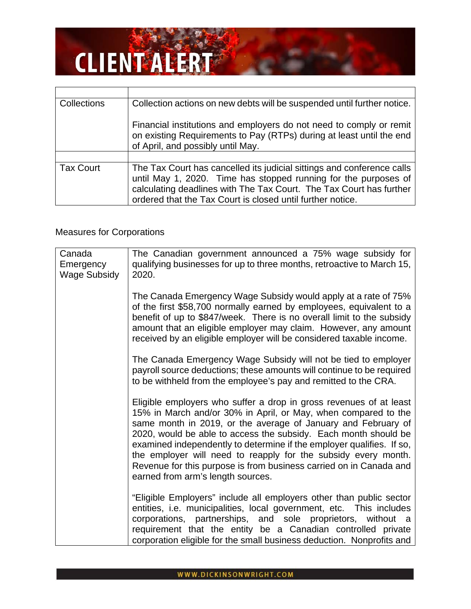| <b>Collections</b> | Collection actions on new debts will be suspended until further notice.                                                                                                                                                                                                        |
|--------------------|--------------------------------------------------------------------------------------------------------------------------------------------------------------------------------------------------------------------------------------------------------------------------------|
|                    | Financial institutions and employers do not need to comply or remit<br>on existing Requirements to Pay (RTPs) during at least until the end<br>of April, and possibly until May.                                                                                               |
|                    |                                                                                                                                                                                                                                                                                |
| <b>Tax Court</b>   | The Tax Court has cancelled its judicial sittings and conference calls<br>until May 1, 2020. Time has stopped running for the purposes of<br>calculating deadlines with The Tax Court. The Tax Court has further<br>ordered that the Tax Court is closed until further notice. |

#### Measures for Corporations

| Canada<br>Emergency<br><b>Wage Subsidy</b> | The Canadian government announced a 75% wage subsidy for<br>qualifying businesses for up to three months, retroactive to March 15,<br>2020.                                                                                                                                                                                                                                                                                                                                                                                    |
|--------------------------------------------|--------------------------------------------------------------------------------------------------------------------------------------------------------------------------------------------------------------------------------------------------------------------------------------------------------------------------------------------------------------------------------------------------------------------------------------------------------------------------------------------------------------------------------|
|                                            | The Canada Emergency Wage Subsidy would apply at a rate of 75%<br>of the first \$58,700 normally earned by employees, equivalent to a<br>benefit of up to \$847/week. There is no overall limit to the subsidy<br>amount that an eligible employer may claim. However, any amount<br>received by an eligible employer will be considered taxable income.                                                                                                                                                                       |
|                                            | The Canada Emergency Wage Subsidy will not be tied to employer<br>payroll source deductions; these amounts will continue to be required<br>to be withheld from the employee's pay and remitted to the CRA.                                                                                                                                                                                                                                                                                                                     |
|                                            | Eligible employers who suffer a drop in gross revenues of at least<br>15% in March and/or 30% in April, or May, when compared to the<br>same month in 2019, or the average of January and February of<br>2020, would be able to access the subsidy. Each month should be<br>examined independently to determine if the employer qualifies. If so,<br>the employer will need to reapply for the subsidy every month.<br>Revenue for this purpose is from business carried on in Canada and<br>earned from arm's length sources. |
|                                            | "Eligible Employers" include all employers other than public sector<br>entities, i.e. municipalities, local government, etc. This includes<br>corporations, partnerships, and sole proprietors, without a<br>requirement that the entity be a Canadian controlled private<br>corporation eligible for the small business deduction. Nonprofits and                                                                                                                                                                             |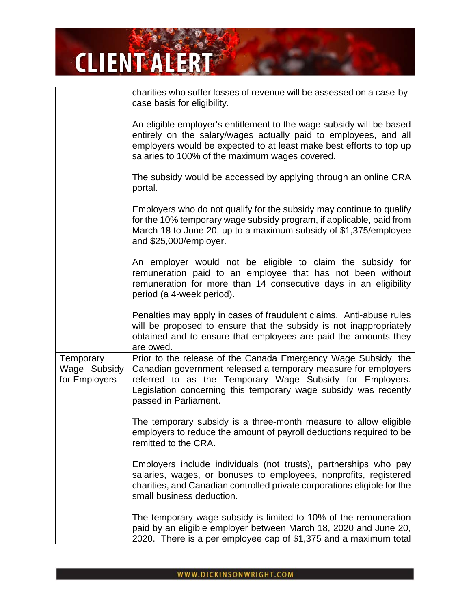|                                            | charities who suffer losses of revenue will be assessed on a case-by-<br>case basis for eligibility.                                                                                                                                                                                     |
|--------------------------------------------|------------------------------------------------------------------------------------------------------------------------------------------------------------------------------------------------------------------------------------------------------------------------------------------|
|                                            | An eligible employer's entitlement to the wage subsidy will be based<br>entirely on the salary/wages actually paid to employees, and all<br>employers would be expected to at least make best efforts to top up<br>salaries to 100% of the maximum wages covered.                        |
|                                            | The subsidy would be accessed by applying through an online CRA<br>portal.                                                                                                                                                                                                               |
|                                            | Employers who do not qualify for the subsidy may continue to qualify<br>for the 10% temporary wage subsidy program, if applicable, paid from<br>March 18 to June 20, up to a maximum subsidy of \$1,375/employee<br>and \$25,000/employer.                                               |
|                                            | An employer would not be eligible to claim the subsidy for<br>remuneration paid to an employee that has not been without<br>remuneration for more than 14 consecutive days in an eligibility<br>period (a 4-week period).                                                                |
|                                            | Penalties may apply in cases of fraudulent claims. Anti-abuse rules<br>will be proposed to ensure that the subsidy is not inappropriately<br>obtained and to ensure that employees are paid the amounts they<br>are owed.                                                                |
| Temporary<br>Wage Subsidy<br>for Employers | Prior to the release of the Canada Emergency Wage Subsidy, the<br>Canadian government released a temporary measure for employers<br>referred to as the Temporary Wage Subsidy for Employers.<br>Legislation concerning this temporary wage subsidy was recently<br>passed in Parliament. |
|                                            | The temporary subsidy is a three-month measure to allow eligible<br>employers to reduce the amount of payroll deductions required to be<br>remitted to the CRA.                                                                                                                          |
|                                            | Employers include individuals (not trusts), partnerships who pay<br>salaries, wages, or bonuses to employees, nonprofits, registered<br>charities, and Canadian controlled private corporations eligible for the<br>small business deduction.                                            |
|                                            | The temporary wage subsidy is limited to 10% of the remuneration<br>paid by an eligible employer between March 18, 2020 and June 20,<br>2020. There is a per employee cap of \$1,375 and a maximum total                                                                                 |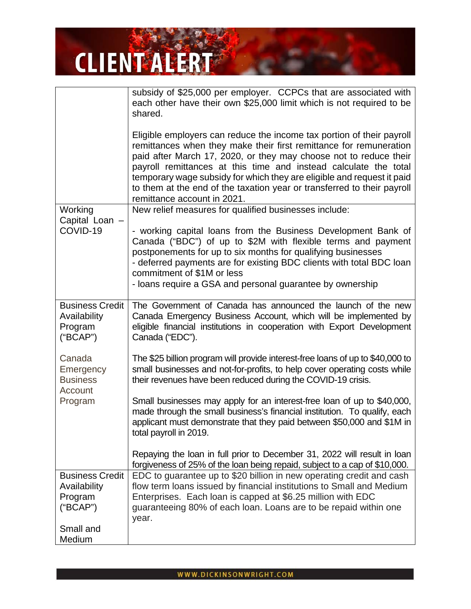|                                                                            | subsidy of \$25,000 per employer. CCPCs that are associated with<br>each other have their own \$25,000 limit which is not required to be<br>shared.                                                                                                                                                                                                                                                                                                                      |
|----------------------------------------------------------------------------|--------------------------------------------------------------------------------------------------------------------------------------------------------------------------------------------------------------------------------------------------------------------------------------------------------------------------------------------------------------------------------------------------------------------------------------------------------------------------|
|                                                                            | Eligible employers can reduce the income tax portion of their payroll<br>remittances when they make their first remittance for remuneration<br>paid after March 17, 2020, or they may choose not to reduce their<br>payroll remittances at this time and instead calculate the total<br>temporary wage subsidy for which they are eligible and request it paid<br>to them at the end of the taxation year or transferred to their payroll<br>remittance account in 2021. |
| Working                                                                    | New relief measures for qualified businesses include:                                                                                                                                                                                                                                                                                                                                                                                                                    |
| Capital Loan -<br>COVID-19                                                 | - working capital loans from the Business Development Bank of<br>Canada ("BDC") of up to \$2M with flexible terms and payment<br>postponements for up to six months for qualifying businesses<br>- deferred payments are for existing BDC clients with total BDC loan<br>commitment of \$1M or less<br>- loans require a GSA and personal guarantee by ownership                                                                                                         |
| <b>Business Credit</b><br>Availability<br>Program<br>("BCAP")              | The Government of Canada has announced the launch of the new<br>Canada Emergency Business Account, which will be implemented by<br>eligible financial institutions in cooperation with Export Development<br>Canada ("EDC").                                                                                                                                                                                                                                             |
| Canada<br>Emergency<br><b>Business</b><br>Account                          | The \$25 billion program will provide interest-free loans of up to \$40,000 to<br>small businesses and not-for-profits, to help cover operating costs while<br>their revenues have been reduced during the COVID-19 crisis.                                                                                                                                                                                                                                              |
| Program                                                                    | Small businesses may apply for an interest-free loan of up to \$40,000,<br>made through the small business's financial institution. To qualify, each<br>applicant must demonstrate that they paid between \$50,000 and \$1M in<br>total payroll in 2019.                                                                                                                                                                                                                 |
|                                                                            | Repaying the loan in full prior to December 31, 2022 will result in loan<br>forgiveness of 25% of the loan being repaid, subject to a cap of \$10,000.                                                                                                                                                                                                                                                                                                                   |
| <b>Business Credit</b><br>Availability<br>Program<br>("BCAP")<br>Small and | EDC to guarantee up to \$20 billion in new operating credit and cash<br>flow term loans issued by financial institutions to Small and Medium<br>Enterprises. Each loan is capped at \$6.25 million with EDC<br>guaranteeing 80% of each loan. Loans are to be repaid within one<br>year.                                                                                                                                                                                 |
| Medium                                                                     |                                                                                                                                                                                                                                                                                                                                                                                                                                                                          |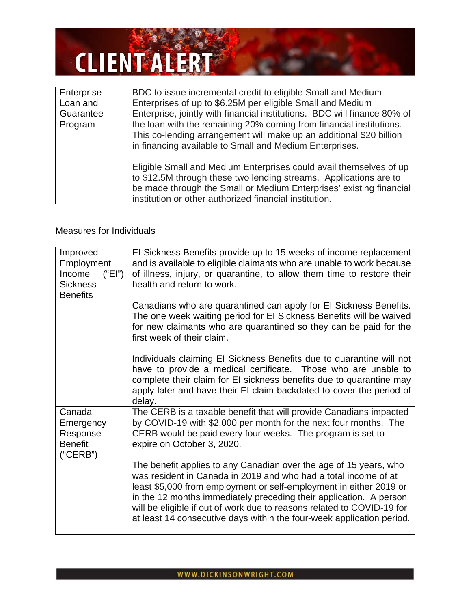| Enterprise | BDC to issue incremental credit to eligible Small and Medium                                                                                                                                                                                                             |
|------------|--------------------------------------------------------------------------------------------------------------------------------------------------------------------------------------------------------------------------------------------------------------------------|
| Loan and   | Enterprises of up to \$6.25M per eligible Small and Medium                                                                                                                                                                                                               |
| Guarantee  | Enterprise, jointly with financial institutions. BDC will finance 80% of                                                                                                                                                                                                 |
| Program    | the loan with the remaining 20% coming from financial institutions.                                                                                                                                                                                                      |
|            | This co-lending arrangement will make up an additional \$20 billion                                                                                                                                                                                                      |
|            | in financing available to Small and Medium Enterprises.                                                                                                                                                                                                                  |
|            | Eligible Small and Medium Enterprises could avail themselves of up<br>to \$12.5M through these two lending streams. Applications are to<br>be made through the Small or Medium Enterprises' existing financial<br>institution or other authorized financial institution. |

#### Measures for Individuals

| Improved<br>Employment<br>Income<br>("EI")<br><b>Sickness</b><br><b>Benefits</b> | El Sickness Benefits provide up to 15 weeks of income replacement<br>and is available to eligible claimants who are unable to work because<br>of illness, injury, or quarantine, to allow them time to restore their<br>health and return to work.                                                                                                                                                                                  |
|----------------------------------------------------------------------------------|-------------------------------------------------------------------------------------------------------------------------------------------------------------------------------------------------------------------------------------------------------------------------------------------------------------------------------------------------------------------------------------------------------------------------------------|
|                                                                                  | Canadians who are quarantined can apply for EI Sickness Benefits.<br>The one week waiting period for EI Sickness Benefits will be waived<br>for new claimants who are quarantined so they can be paid for the<br>first week of their claim.                                                                                                                                                                                         |
|                                                                                  | Individuals claiming EI Sickness Benefits due to quarantine will not<br>have to provide a medical certificate. Those who are unable to<br>complete their claim for EI sickness benefits due to quarantine may<br>apply later and have their EI claim backdated to cover the period of<br>delay.                                                                                                                                     |
| Canada                                                                           | The CERB is a taxable benefit that will provide Canadians impacted                                                                                                                                                                                                                                                                                                                                                                  |
| Emergency                                                                        | by COVID-19 with \$2,000 per month for the next four months. The                                                                                                                                                                                                                                                                                                                                                                    |
| Response<br><b>Benefit</b><br>("CERB")                                           | CERB would be paid every four weeks. The program is set to<br>expire on October 3, 2020.                                                                                                                                                                                                                                                                                                                                            |
|                                                                                  | The benefit applies to any Canadian over the age of 15 years, who<br>was resident in Canada in 2019 and who had a total income of at<br>least \$5,000 from employment or self-employment in either 2019 or<br>in the 12 months immediately preceding their application. A person<br>will be eligible if out of work due to reasons related to COVID-19 for<br>at least 14 consecutive days within the four-week application period. |